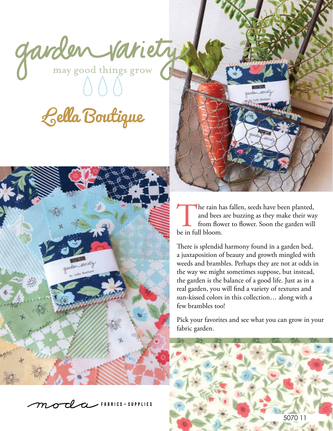garden variety

Lella Boutique







The rain has fallen, seeds have been planted, and bees are buzzing as they make their way from flower to flower. Soon the garden will be in full bloom.

There is splendid harmony found in a garden bed, a juxtaposition of beauty and growth mingled with weeds and brambles. Perhaps they are not at odds in the way we might sometimes suppose, but instead, the garden is the balance of a good life. Just as in a real garden, you will find a variety of textures and sun-kissed colors in this collection… along with a few brambles too!

Pick your favorites and see what you can grow in your fabric garden.

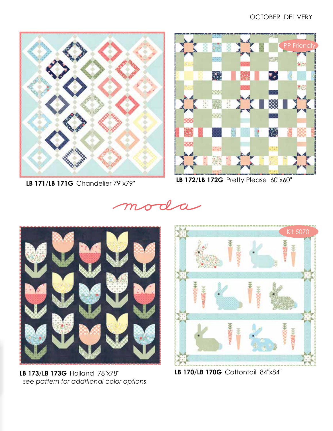

**LB 171**/**LB 171G** Chandelier 79"x79"



**LB 172**/**LB 172G** Pretty Please 60"x60"





**LB 173**/**LB 173G** Holland 78"x78"  *see pattern for additional color options*



**LB 170**/**LB 170G** Cottontail 84"x84"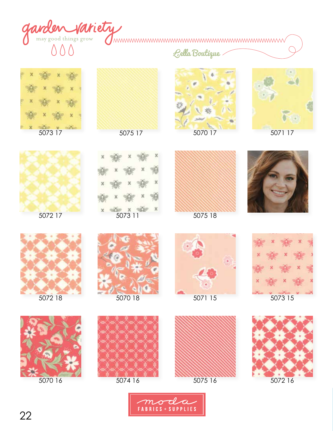

Lella Boutique











5072 17





5075 18













5070 16